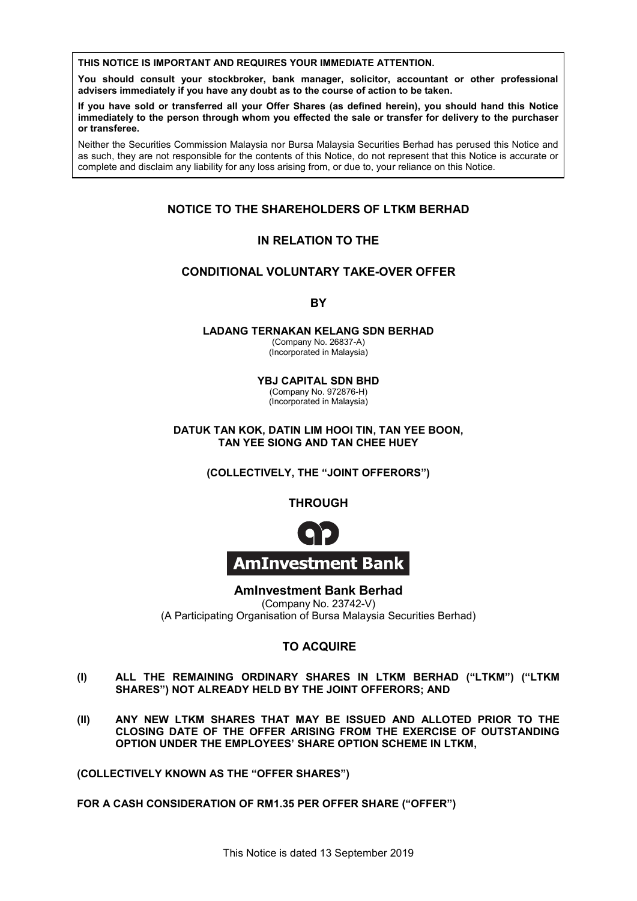**THIS NOTICE IS IMPORTANT AND REQUIRES YOUR IMMEDIATE ATTENTION. THIS NOTICE IS IMPORTANT AND REQUIRES YOUR IMMEDIATE ATTENTION.**

**or transferee.**

You should consult your stockbroker, bank manager, solicitor, accountant or other professional **advisers immediately if you have any doubt as to the course of action to be taken.**<br>advisers immediately if you have any doubt as to the course of action to be taken. advisers immediately if you have any doubt as to the course of action to be taken. advisers immediately if you have any doubt as to the course of action to be tal

or transferee.<br>The contract of the contract of the contract of the contract of the contract of the contract of the contract of If you have sold or transferred all your Offer Shares (as defined herein), you should hand this Notice in you have sold or dansierrod an your offer onares (as defined nerem,), you should hand this Notice.<br>Immediately to the person through whom you effected the sale or transfer for delivery to the purchaser immediately to the person through whom you effected the sale or transfer for delivery to the purchaser<br>or transferee **immediately to the person through whom you effected the sale or transfer for delivery to the purchaser**  in you have sold or transferred an your Oner Onlines (as defined herein), you should hand this Notice<br>immediately to the person through whom you effected the sale or transfer for delivery to the purchaser **If you have sold of the sold of the shares (as defined herein), you should have shown of the should hand the No** immediately to the person through whom you effected the sale or transfer for delivery to the purchaser<br>er transferee **advisers immediately if you have any doubt as to the course of action to be taken.** if you have sold of transferred an your once ondres (as defined neterify, you<br>immediately to the person through whom you effected the sale or transfer fo

Neither the Securities Commission Malaysia nor Bursa Malaysia Securities Berhad has perused this Notice and Neither the Securities Commission Malaysia nor Bursa Malaysia Securities Berhad has perused this Notice and<br>as such, they are not responsible for the contents of this Notice, do not represent that this Notice is accurate o complete and disclaim any liability for any loss arising from, or due to, your reliance on this Notice. as such, they are not responsible for the contents of this Notice, do not represent that this Notice is accurate or<br>complete and disclaim any liability for any loss arising from, or due to, your reliance on this Notice. as such, they are not responsible for the contents or this route, ao not represent that this route is accurate or<br>complete and disclaim any liability for any loss arising from, or due to, your reliance on this Notice. complete and disclaim any liability for any loss arising from, or due to, your reliance on this Notice is accurate or or transferee.<br>Neither the Securities Commission Malaysia nor Bursa Malaysia Securities Berhad has perused this Notice and<br>as such, they are not responsible for the contents of this Notice, do not represent that this Notic complete and disclaim any liability for any loss arising from, or due to, your reliance on this Notice.

Neither the Securities Commission Malaysia nor Bursa Malaysia Securities Berhad has perused this Notice and as such, they are not responsible for the contents of this Notice, do not represent that this Notice is accurate or

**immediately to the person through whom you effected the sale or transfer for delivery to the purchaser** 

complete and disclaim any liability for any loss arising from, or due to, your reliance on this Notice.

# Neither the Securities Commission Malaysia nor Bursa Malaysia Securities Berhad has perused this Notice and **NOTICE TO THE SHAREHOLDERS OF LTKM BERHAD NOTICE TO THE SHAREHOLDERS OF LTKM BERHAD** NOTICE TO THE SHAREHOLDERS OF LTKM BERHAD NOTICE TO THE SHAREHOLDERS OF LTKM BERHAD

#### complete and disclaim any liability for any loss arising from, or due to, your reliance on this Notice. **IN RELATION TO THE IN RELATION TO THE IN RELATION TO THE IN RELATION TO THE NO INCLASSION TO THE**

### **CONDITIONAL VOLUNTARY TAKE-OVER OFFER CONDITIONAL VOLUNTARY TAKE-OVER OFFER L VOLUNTARY TAKE-CONDITIONAL VOLUNTARY TAKE-OVER OFFER**

**IN RELATION TO THE BY BY BY BY LADANG TERNAKAN KELANG SDN BERHAD CONDITIONAL VOLUNTARY TAKE-OVER OFFER CONDITION CONDITION CONDITIONAL VOLUNTARY TAKE-OVER OFFER IN RELATION TO THE**

**LADANG TERNAKAN KELANG SDN BERHAD** (Incorporated in Malaysia) (Company No. 26837-A) **LADANG TERNAKAN KELANG SDN BERHAD LADANG TERNAKAN KELANG SDN BERHAD**<br>(Company No. 26837-A) LADANG TERNAKAN KELANG SDN BERHAD **BY BY BY CONDITIONAL VOLUNTARY TAKE-OVER OFFER**

(Company No. 20837-A)<br>(Incorporated in Malaysia) **Y**B<sub>1</sub> C<sub>a</sub> (Company No. 2003)<sup>-</sup>-A)<br>(Incorporated in Malaysia) (Company No. 26837-A)<br>(Incorporated in Malaysia) **LADANG TERNAKAN KELANG SDN BERHAD**

**YBJ CAPITAL SDN BHD** YBJ CAPITAL SDN BHD

Company No. 972876-H) (Company No. 972876-H)<br>(Incorporated in Malaysia) **DATUK TAN KOK, DATIN LIM HOOI TIN, TAN YEE BOON,**  (Company No. 972876-H)<br>(Incorporated in Malaysia) (Incorporated in Malaysia)

**DATUK TAN KOK, DATIN LIM HOOI TIN, TAN YEE BOON, EXERCTIVE COLLECTIVE COLLECTIVE COLLECTIVE COLLECTIVE COLLECTIVE COLLECTIVE COLLECTIVE COLLECTIVE COLLECTIVE** DATUK TAN KOK, DATIN LIM HOOI TIN, TAN YEE BOON, **TAN YEE SIONG AND TAN CHEE HUEY** TAN YEE SIONG AND TAN CHEE HUEY  $\overline{D}$  (Incorporated in Malaysia)

**DATUK TAN KOK, DATIN LIM HOOI TIN, TAN YEE BOON, TAN YEE CONSIDER SIDE CHEE SIDE CHEE HUES THE** "JOIN **THROUGH** (COLLECTIVELY, THE "JOINT OFFERORS")

**(COLLECTIVELY, THE "JOINT OFFERORS") THROUGH THROUGH THROUGH THROUGH THROUGH THROUGH**  $\mathbf{F}$  $\mathbf{F}$ 



(Company No. 23742-V)

**TO ACCUPACIT ACCUPACITY INDEX BETAIN DEPARTMENT OF BURSIE SERVICES OF BURSIE SERVICES AND RELATION OF BURSIE SCHLIMER** (A Participating Organisation of Bursa Malaysia Securities Berhad)  $(Comparing No. 23742-V)$ A minvestment Bank Berhad **AmInvestment Bank Berhad TO ACQUIRE** (Company No. 23742-V) **AmInvestment Bank Berhad AmInvestment Bank Berhad AmInvestment Bank Berhad** (A Participating Organisation of Bursa Malaysia Securities Berhad) (A Participating Organisation of Bursa Malaysia Securities Berhad) (Company No. 23742-V) (A Participating Organisation of Bursa Malaysia Securities Berhad)

#### TO ACQUIRE **(I) ALL THE REMAINING ORDINARY SHARES IN LTKM BERHAD ("LTKM") ("LTKM SHARES IN AVAIL BY THE JOINT OF ALS AND ALLEADY THE JOINT OF THE JOINT OF ALL AND ALL AND ALL AND ALL AND I** O ACQUIRE (Company No. 23742-V)  $\overline{A}$   $\overline{A}$   $\overline{A}$   $\overline{A}$   $\overline{A}$   $\overline{B}$   $\overline{B}$   $\overline{B}$

- **TO ACQUIRE (II) ANY NEW LTKM SHARES THAT MAY BE ISSUED AND ALLOTED PRIOR TO THE**  (**I)** THE THE REMAINING SHARM CHARGES IN LINING BERMAD ("LINIII") ("LINIII") SHARES") NOT ALREADY HELD BY THE JOINT OFFERORS; AND (I) ALL THE REMAINING ORDINARY SHARES IN LTKM BERHAD ("LTKM") ("LTKM") SHARES") NOT ALREADY HELD BY THE JOINT OFFERORS; AND **(I) ALL THE REMAINING ORDINARY SHARES IN LTKM BERHAD ("LTKM") ("LTKM (II) ANY NEW LTKM SHARES THAT MAY BE ISSUED AND ALLOTED PRIOR TO THE**  (I) ALL THE REMAINING ORDINARY SHARES IN LTKM BERHAD ("LTKM") ("LTKM") SHARES") NOT ALREADY HELD BY THE JOINT OFFERORS; AND
- CLOSING DATE OF THE OFFER ARISING FROM THE EXERCISE OF OUTSTANDING OPTION UNDER THE EMPLOYEES' SHARE OPTION SCHEME IN LTKM, **(II) ANY NEW LTKM SHARES THAT MAY BE IS EXAMPLOY NO CONDER THAS SHALL ARE ARRISING ARRISING THE SARK ARRISING THE SARK ARRISING THE SARK ARRISING ARRISING ARRISING ARRISING THE SARK ARRISING THE SARK ARRISING THE SARK ARRISING THE SARK ARRISING THE SARK ARRISIN** OPTION UNDER THE EMPLOYEES' SHARE OPTION SCHEME IN LTKM, (II) ANY NEW LTKM SHARES THAT MAY BE ISSUED AND ALLOTED PRIOR TO THE ANY NEW LTKM SHARES THAT MAY BE ISSUED AND ALLOTED PRIOR TO THE Solo or transferred all your Uniter Shares (as dominate nearin), where the stream) and the person through whom you difected the sail or transfer for<br>exertities Commission Malaysia nor Bursa Malaysia Securities Berhace<br>or t (II) ANY NEW LTKM SHARES THAT MAY BE ISSUED AND ALLOTED PRIOR TO THE To the parson through whom you effected the sale or transfer for the parties Commission Maleysia nor Burge Maleysia Securities Berhard disclaim any listility for any loss arising from, or due to, your reliance the disclaim **OPTION UNDER THE EMPLOYEES' SHARE OPTION SCHEME IN LTKM,**

**(COLLECTIVELY KNOWN AS THE "OFFER SHARES")**  (COLLECTIVELY KNOWN AS THE "OFFER SHARES")

**FOR A CASH CONSIDERATION OF RM1.35 PER OFFER SHARE ("OFFER")** .<br><mark>DN OF RM1.35 PER OFFER SHARE</mark> (" **FOR A CASH CONSIDERATION OF RM1.35 PER OFFER SHARE ("OFFER") FOR A CASH CONSIDERATION OF RM1.35 PER OFFER SHARE ("OFFER")**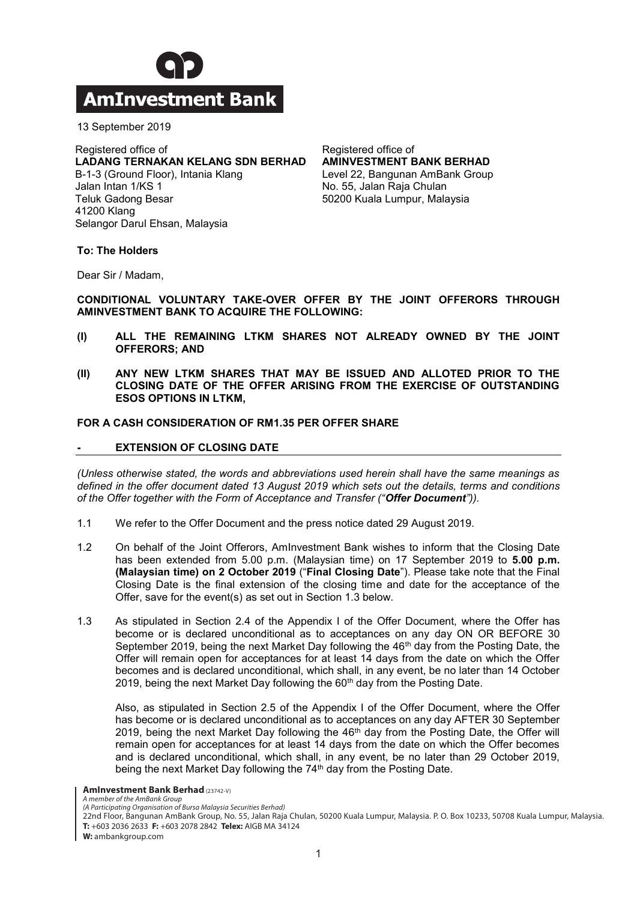

13 September 2019 13 September 2019

### Registered office of **LADANG TERNAKAN KERANG DI BERGAWA KELANG SEBAGAI KELANG SEBAGAI DENGANG SEBAGAI DENGANG SEBAGAI DENGANG SEBAGA**<br>Di bertama di bertama di bertama di bertama di bertama di bertama di bertama di bertama di bertama di bertama LADANG TERNAKAN KELANG SDN BERHAD B-1-3 (Ground Floor), Intania Klang Jalan Intan 1/KS 1 Teluk Gadong Besar Registered office of 41200 Klang

Registered office of **Registered office of**<br>Andrew Contract beginning to the series of the series of the series of the series of the series of the series o AMINVESTMENT BANK BERHAD Level 22, Bangunan AmBank Group No. 55, Jalan Raja Chulan Registered office of 50200 Kuala Lumpur, Malaysia

**To: The Holders**

41200 Kiang<br>Care Darul Ehsan, Malaysia

Selangor Darul Ehsan, Malaysia

Dear Sir / Madam,

**CONDITIONAL VOLUNTARY TAKE-OVER OFFER BY THE JOINT OFFERORS THROUGH**  AMINVESTMENT BANK TO ACQUIRE THE FOLLOWING:

- **(I) ALL THE REMAINING LTKM SHARES NOT ALREADY OWNED BY THE JOINT COFFERORS; AND COLLEGE ALL THE SHARES SHARES SHARES SHARES SHARES SHARES SHARES SHARES SHARES SHARES SHARES SHARES SHARES SHARES SHARES SHARES SHARES SHARES SHARES SHARES SHARES SHARES SHARES SHARES SHARES SHARES SHARES**
- **(II) ANY NEW LTKM SHARES THAT MAY BE ISSUED AND ALLOTED PRIOR TO THE CLOSING DATE OF THE OFFER ARISING FROM THE EXERCISE OF OUTSTANDING ESOS OPTIONS IN LTKM,**  $\overline{C}$

# **FOR A CASH CONSIDERATION OF RM1.35 PER OFFER SHARE**

### **- EXTENSION OF CLOSING DATE - EXTENSION OF CLOSING DATE**

*(Unless otherwise stated, the words and abbreviations used herein shall have the same meanings as*  defined in the offer document dated 13 August 2019 which sets out the details, terms and conditions of the Offer together with the Form of Acceptance and Transfer ("Offer Document")). *of the Offer together with the Form of Acceptance and Transfer ("Offer Document")).*

- 1.1 We refer to the Offer Document and the press notice dated 29 August 2019. 1.1 We refer to the Offer Document and the press notice dated 29 August 2019.
- 1.2 On behalf of the Joint Offerors, AmInvestment Bank wishes to inform that the Closing Date has been extended from 5.00 p.m. (Malaysian time) on 17 September 2019 to 5.00 p.m. **(Malaysian time) on 2 October 2019 ("Final Closing Date"). Please take note that the Final** Closing Date is the final extension of the closing time and date for the acceptance of the Offer, save for the event(s) as set out in Section 1.3 below.  $\mathcal{O}(\mathcal{S})$  as set out in Section 1.3 below. The event (s) as set out in Section 1.3 below.
- 1.3 As stipulated in Section 2.4 of the Appendix I of the Offer Document, where the Offer has become or is declared unconditional as to acceptances on any day ON OR BEFORE 30 September 2019, being the next Market Day following the 46<sup>th</sup> day from the Posting Date, the Offer will remain open for acceptances for at least 14 days from the date on which the Offer becomes and is declared unconditional, which shall, in any event, be no later than 14 October 2019, being the next Market Day following the 60<sup>th</sup> day from the Posting Date. 2019, being the next Market Day following the 60th day from the Posting Date.

Also, as stipulated in Section 2.5 of the Appendix I of the Offer Document, where the Offer has become or is declared unconditional as to acceptances on any day AFTER 30 September 2019, being the next Market Day following the 46<sup>th</sup> day from the Posting Date, the Offer will remain open for acceptances for at least 14 days from the date on which the Offer becomes and is declared unconditional, which shall, in any event, be no later than 29 October 2019, being the next Market Day following the 74<sup>th</sup> day from the Posting Date. being the next Market Day following the 74th day from the Posting Date.

**AmInvestment Bank Berhad** (23742-V) **AMINVESTMENT BANK BETHOLOGY**<br>4 Member of the AMRANK Group

*A member of the AmBank Group (A Participating Organisation of Bursa Malaysia Securities Berhad)* a member of the Ambank Group<br>(A Participating Organisation of Bursa Malaysia Securities Berhad)

22nd Floor, Bangunan AmBank Group, No. 55, Jalan Raja Chulan, 50200 Kuala Lumpur, Malaysia. P. O. Box 10233, 50708 Kuala Lumpur, Malaysia.<br>Turkon 2022 2022 Europe 2020 2020 EUL MICRIM 24234. **T:** +603 2036 2633 **F:** +603 2078 2842 **Telex:** AIGB MA 34124 **Document SHALL REMAIN UNCHANGED.**

**W:** ambankgroup.com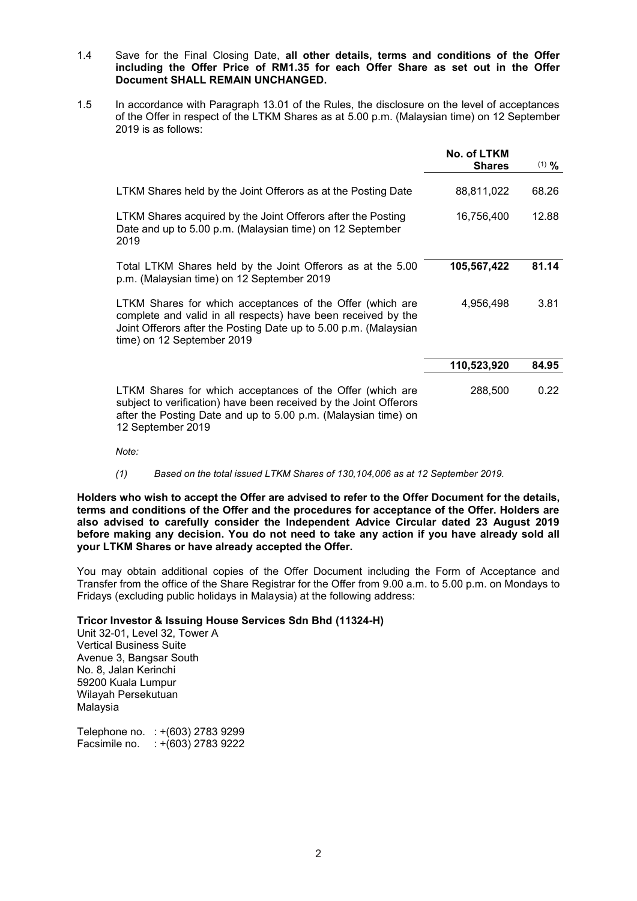- 1.4 Save for the Final Closing Date, **all other details, terms and conditions of the Offer including the Offer Price of RM1.35 for each Offer Share as set out in the Offer Document SHALL REMAIN UNCHANGED.**
- 1.5 In accordance with Paragraph 13.01 of the Rules, the disclosure on the level of acceptances of the Offer in respect of the LTKM Shares as at 5.00 p.m. (Malaysian time) on 12 September 2019 is as follows:

|                                                                                                                                                                                                                              | No. of LTKM<br><b>Shares</b> | $(1)$ % |
|------------------------------------------------------------------------------------------------------------------------------------------------------------------------------------------------------------------------------|------------------------------|---------|
| LTKM Shares held by the Joint Offerors as at the Posting Date                                                                                                                                                                | 88,811,022                   | 68.26   |
| LTKM Shares acquired by the Joint Offerors after the Posting<br>Date and up to 5.00 p.m. (Malaysian time) on 12 September<br>2019                                                                                            | 16,756,400                   | 12.88   |
| Total LTKM Shares held by the Joint Offerors as at the 5.00<br>p.m. (Malaysian time) on 12 September 2019                                                                                                                    | 105,567,422                  | 81.14   |
| LTKM Shares for which acceptances of the Offer (which are<br>complete and valid in all respects) have been received by the<br>Joint Offerors after the Posting Date up to 5.00 p.m. (Malaysian<br>time) on 12 September 2019 | 4,956,498                    | 3.81    |
|                                                                                                                                                                                                                              | 110,523,920                  | 84.95   |
| LTKM Shares for which acceptances of the Offer (which are<br>subject to verification) have been received by the Joint Offerors<br>after the Posting Date and up to 5.00 p.m. (Malaysian time) on<br>12 September 2019        | 288,500                      | 0.22    |

*Note:*

*(1) Based on the total issued LTKM Shares of 130,104,006 as at 12 September 2019.*

**Holders who wish to accept the Offer are advised to refer to the Offer Document for the details, terms and conditions of the Offer and the procedures for acceptance of the Offer. Holders are also advised to carefully consider the Independent Advice Circular dated 23 August 2019 before making any decision. You do not need to take any action if you have already sold all your LTKM Shares or have already accepted the Offer.**

You may obtain additional copies of the Offer Document including the Form of Acceptance and Transfer from the office of the Share Registrar for the Offer from 9.00 a.m. to 5.00 p.m. on Mondays to Fridays (excluding public holidays in Malaysia) at the following address:

# **Tricor Investor & Issuing House Services Sdn Bhd (11324-H)**

Unit 32-01, Level 32, Tower A Vertical Business Suite Avenue 3, Bangsar South No. 8, Jalan Kerinchi 59200 Kuala Lumpur Wilayah Persekutuan Malaysia

Telephone no. : +(603) 2783 9299 Facsimile no. : +(603) 2783 9222